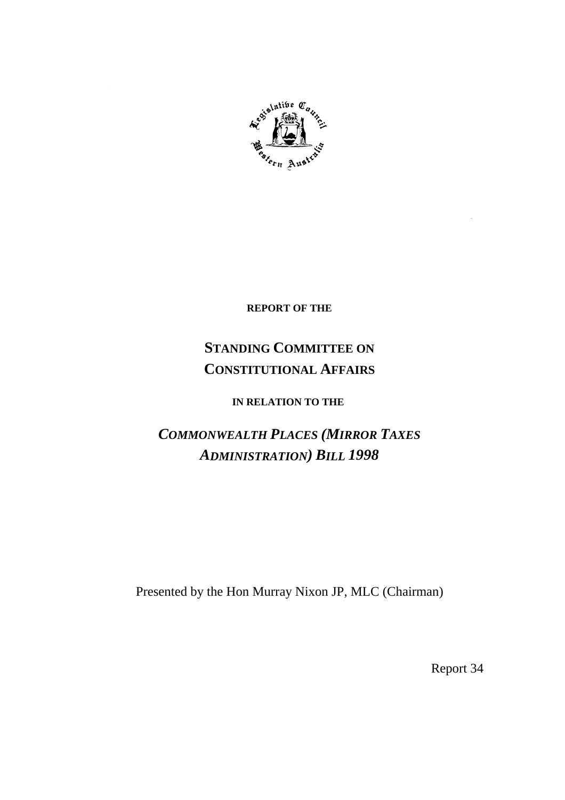

**REPORT OF THE**

## **STANDING COMMITTEE ON CONSTITUTIONAL AFFAIRS**

## **IN RELATION TO THE**

# *COMMONWEALTH PLACES (MIRROR TAXES ADMINISTRATION) BILL 1998*

Presented by the Hon Murray Nixon JP, MLC (Chairman)

Report 34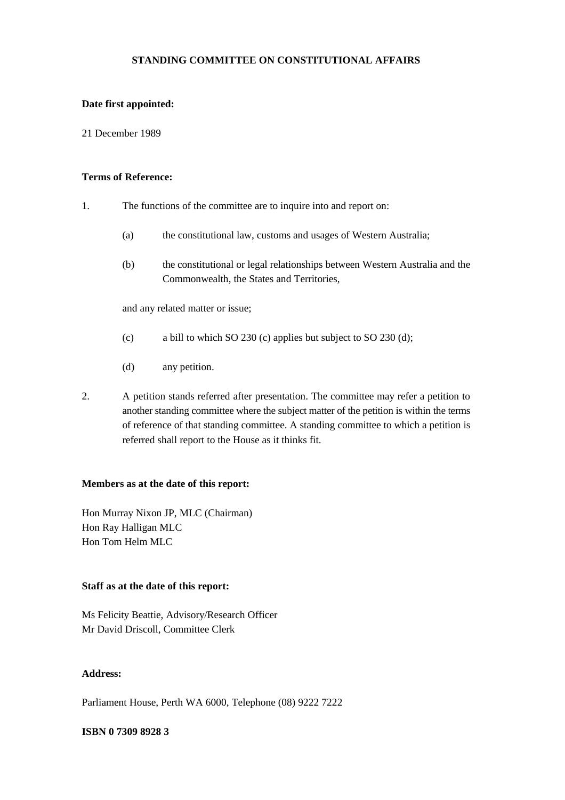#### **STANDING COMMITTEE ON CONSTITUTIONAL AFFAIRS**

#### **Date first appointed:**

21 December 1989

#### **Terms of Reference:**

- 1. The functions of the committee are to inquire into and report on:
	- (a) the constitutional law, customs and usages of Western Australia;
	- (b) the constitutional or legal relationships between Western Australia and the Commonwealth, the States and Territories,

and any related matter or issue;

- (c) a bill to which SO 230 (c) applies but subject to SO 230 (d);
- (d) any petition.
- 2. A petition stands referred after presentation. The committee may refer a petition to another standing committee where the subject matter of the petition is within the terms of reference of that standing committee. A standing committee to which a petition is referred shall report to the House as it thinks fit.

#### **Members as at the date of this report:**

Hon Murray Nixon JP, MLC (Chairman) Hon Ray Halligan MLC Hon Tom Helm MLC

#### **Staff as at the date of this report:**

Ms Felicity Beattie, Advisory/Research Officer Mr David Driscoll, Committee Clerk

#### **Address:**

Parliament House, Perth WA 6000, Telephone (08) 9222 7222

#### **ISBN 0 7309 8928 3**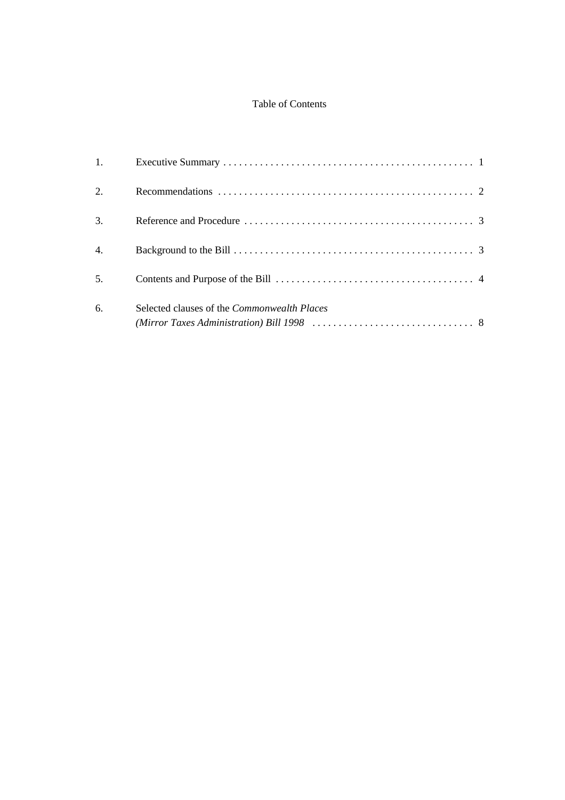## Table of Contents

| 1. |                                                    |  |
|----|----------------------------------------------------|--|
| 2. |                                                    |  |
| 3. |                                                    |  |
| 4. |                                                    |  |
| 5. |                                                    |  |
| 6. | Selected clauses of the <i>Commonwealth Places</i> |  |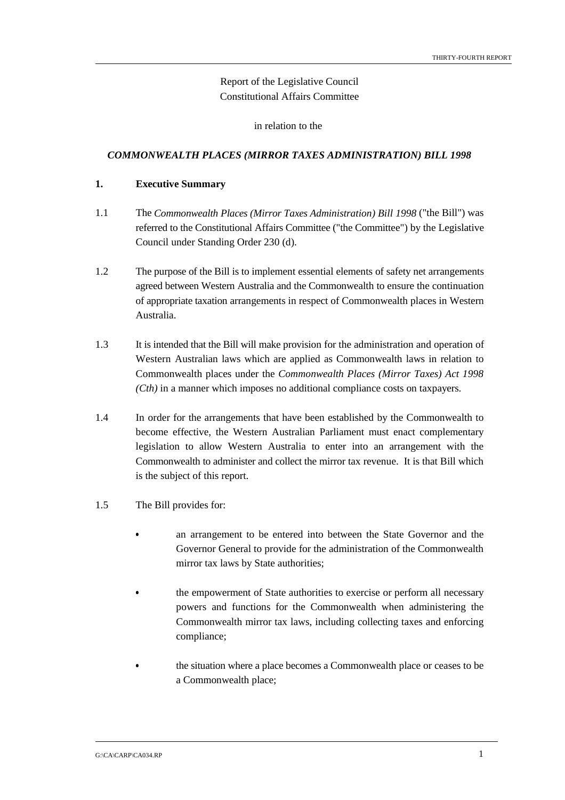### Report of the Legislative Council Constitutional Affairs Committee

in relation to the

#### *COMMONWEALTH PLACES (MIRROR TAXES ADMINISTRATION) BILL 1998*

#### **1. Executive Summary**

- 1.1 The *Commonwealth Places (Mirror Taxes Administration) Bill 1998* ("the Bill") was referred to the Constitutional Affairs Committee ("the Committee") by the Legislative Council under Standing Order 230 (d).
- 1.2 The purpose of the Bill is to implement essential elements of safety net arrangements agreed between Western Australia and the Commonwealth to ensure the continuation of appropriate taxation arrangements in respect of Commonwealth places in Western Australia.
- 1.3 It is intended that the Bill will make provision for the administration and operation of Western Australian laws which are applied as Commonwealth laws in relation to Commonwealth places under the *Commonwealth Places (Mirror Taxes) Act 1998 (Cth)* in a manner which imposes no additional compliance costs on taxpayers.
- 1.4 In order for the arrangements that have been established by the Commonwealth to become effective, the Western Australian Parliament must enact complementary legislation to allow Western Australia to enter into an arrangement with the Commonwealth to administer and collect the mirror tax revenue. It is that Bill which is the subject of this report.
- 1.5 The Bill provides for:
	- an arrangement to be entered into between the State Governor and the Governor General to provide for the administration of the Commonwealth mirror tax laws by State authorities;
	- the empowerment of State authorities to exercise or perform all necessary powers and functions for the Commonwealth when administering the Commonwealth mirror tax laws, including collecting taxes and enforcing compliance;
		- the situation where a place becomes a Commonwealth place or ceases to be a Commonwealth place;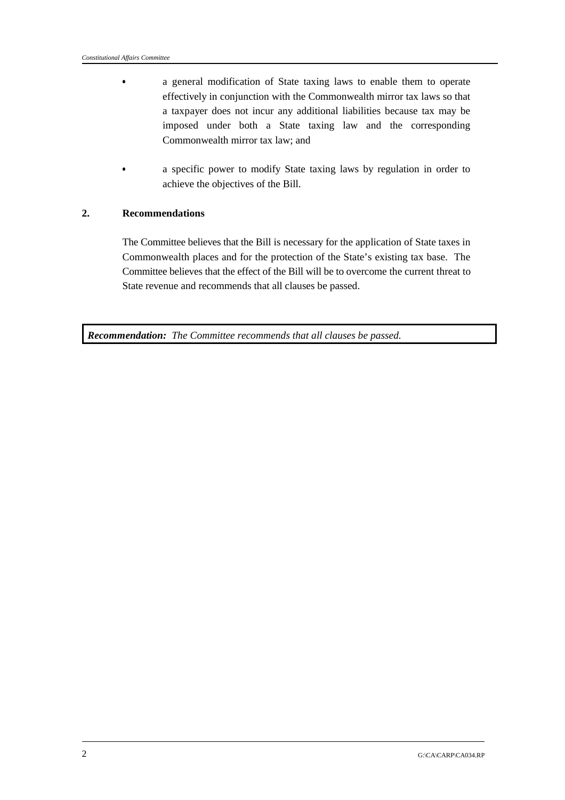- a general modification of State taxing laws to enable them to operate effectively in conjunction with the Commonwealth mirror tax laws so that a taxpayer does not incur any additional liabilities because tax may be imposed under both a State taxing law and the corresponding Commonwealth mirror tax law; and
- $\bullet$  a specific power to modify State taxing laws by regulation in order to achieve the objectives of the Bill.

#### **2. Recommendations**

The Committee believes that the Bill is necessary for the application of State taxes in Commonwealth places and for the protection of the State's existing tax base. The Committee believes that the effect of the Bill will be to overcome the current threat to State revenue and recommends that all clauses be passed.

*Recommendation: The Committee recommends that all clauses be passed.*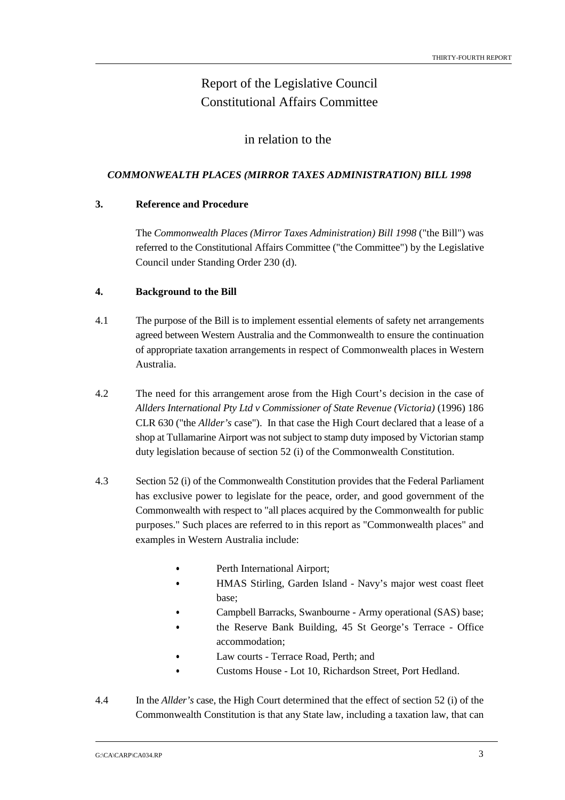## Report of the Legislative Council Constitutional Affairs Committee

### in relation to the

#### *COMMONWEALTH PLACES (MIRROR TAXES ADMINISTRATION) BILL 1998*

#### **3. Reference and Procedure**

The *Commonwealth Places (Mirror Taxes Administration) Bill 1998* ("the Bill") was referred to the Constitutional Affairs Committee ("the Committee") by the Legislative Council under Standing Order 230 (d).

#### **4. Background to the Bill**

- 4.1 The purpose of the Bill is to implement essential elements of safety net arrangements agreed between Western Australia and the Commonwealth to ensure the continuation of appropriate taxation arrangements in respect of Commonwealth places in Western Australia.
- 4.2 The need for this arrangement arose from the High Court's decision in the case of *Allders International Pty Ltd v Commissioner of State Revenue (Victoria)* (1996) 186 CLR 630 ("the *Allder's* case"). In that case the High Court declared that a lease of a shop at Tullamarine Airport was not subject to stamp duty imposed by Victorian stamp duty legislation because of section 52 (i) of the Commonwealth Constitution.
- 4.3 Section 52 (i) of the Commonwealth Constitution provides that the Federal Parliament has exclusive power to legislate for the peace, order, and good government of the Commonwealth with respect to "all places acquired by the Commonwealth for public purposes." Such places are referred to in this report as "Commonwealth places" and examples in Western Australia include:
	- Perth International Airport; &
	- HMAS Stirling, Garden Island Navy's major west coast fleet base;
	- Campbell Barracks, Swanbourne Army operational (SAS) base; &
	- the Reserve Bank Building, 45 St George's Terrace Office accommodation;
	- Law courts Terrace Road, Perth; and
	- &Customs House - Lot 10, Richardson Street, Port Hedland.
- 4.4 In the *Allder's* case, the High Court determined that the effect of section 52 (i) of the Commonwealth Constitution is that any State law, including a taxation law, that can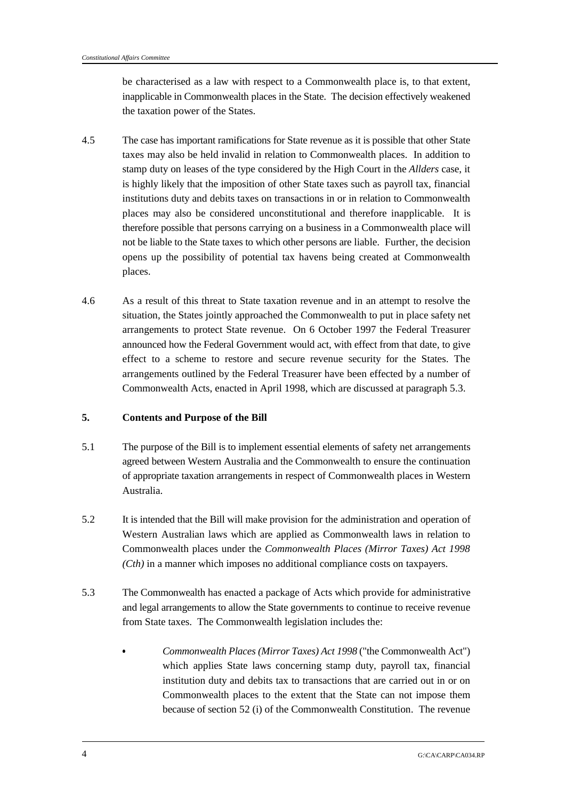be characterised as a law with respect to a Commonwealth place is, to that extent, inapplicable in Commonwealth places in the State. The decision effectively weakened the taxation power of the States.

- 4.5 The case has important ramifications for State revenue as it is possible that other State taxes may also be held invalid in relation to Commonwealth places. In addition to stamp duty on leases of the type considered by the High Court in the *Allders* case, it is highly likely that the imposition of other State taxes such as payroll tax, financial institutions duty and debits taxes on transactions in or in relation to Commonwealth places may also be considered unconstitutional and therefore inapplicable. It is therefore possible that persons carrying on a business in a Commonwealth place will not be liable to the State taxes to which other persons are liable. Further, the decision opens up the possibility of potential tax havens being created at Commonwealth places.
- 4.6 As a result of this threat to State taxation revenue and in an attempt to resolve the situation, the States jointly approached the Commonwealth to put in place safety net arrangements to protect State revenue. On 6 October 1997 the Federal Treasurer announced how the Federal Government would act, with effect from that date, to give effect to a scheme to restore and secure revenue security for the States. The arrangements outlined by the Federal Treasurer have been effected by a number of Commonwealth Acts, enacted in April 1998, which are discussed at paragraph 5.3.

#### **5. Contents and Purpose of the Bill**

- 5.1 The purpose of the Bill is to implement essential elements of safety net arrangements agreed between Western Australia and the Commonwealth to ensure the continuation of appropriate taxation arrangements in respect of Commonwealth places in Western Australia.
- 5.2 It is intended that the Bill will make provision for the administration and operation of Western Australian laws which are applied as Commonwealth laws in relation to Commonwealth places under the *Commonwealth Places (Mirror Taxes) Act 1998 (Cth)* in a manner which imposes no additional compliance costs on taxpayers.
- 5.3 The Commonwealth has enacted a package of Acts which provide for administrative and legal arrangements to allow the State governments to continue to receive revenue from State taxes. The Commonwealth legislation includes the:
	- *Commonwealth Places (Mirror Taxes) Act 1998* ("the Commonwealth Act") which applies State laws concerning stamp duty, payroll tax, financial institution duty and debits tax to transactions that are carried out in or on Commonwealth places to the extent that the State can not impose them because of section 52 (i) of the Commonwealth Constitution. The revenue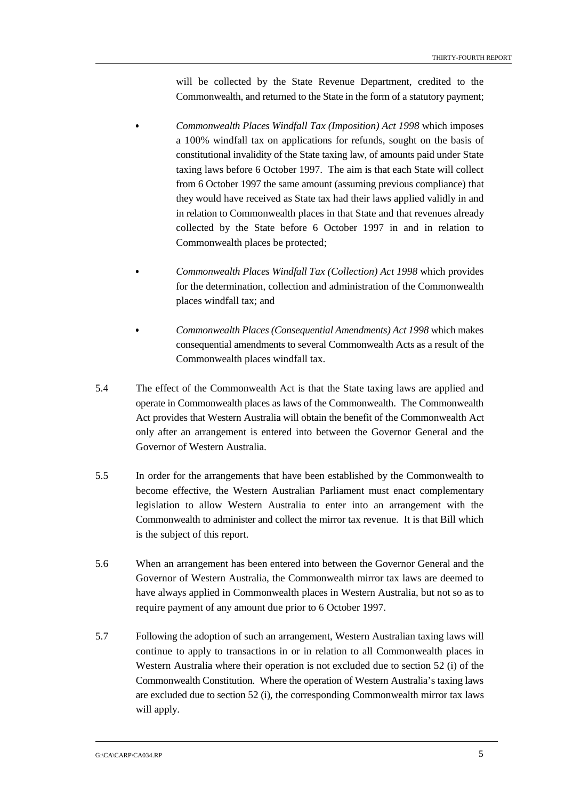will be collected by the State Revenue Department, credited to the Commonwealth, and returned to the State in the form of a statutory payment;

- *Commonwealth Places Windfall Tax (Imposition) Act 1998* which imposes a 100% windfall tax on applications for refunds, sought on the basis of constitutional invalidity of the State taxing law, of amounts paid under State taxing laws before 6 October 1997. The aim is that each State will collect from 6 October 1997 the same amount (assuming previous compliance) that they would have received as State tax had their laws applied validly in and in relation to Commonwealth places in that State and that revenues already collected by the State before 6 October 1997 in and in relation to Commonwealth places be protected;
- *Commonwealth Places Windfall Tax (Collection) Act 1998* which provides for the determination, collection and administration of the Commonwealth places windfall tax; and
- *Commonwealth Places (Consequential Amendments) Act 1998* which makes consequential amendments to several Commonwealth Acts as a result of the Commonwealth places windfall tax.
- 5.4 The effect of the Commonwealth Act is that the State taxing laws are applied and operate in Commonwealth places as laws of the Commonwealth. The Commonwealth Act provides that Western Australia will obtain the benefit of the Commonwealth Act only after an arrangement is entered into between the Governor General and the Governor of Western Australia.
- 5.5 In order for the arrangements that have been established by the Commonwealth to become effective, the Western Australian Parliament must enact complementary legislation to allow Western Australia to enter into an arrangement with the Commonwealth to administer and collect the mirror tax revenue. It is that Bill which is the subject of this report.
- 5.6 When an arrangement has been entered into between the Governor General and the Governor of Western Australia, the Commonwealth mirror tax laws are deemed to have always applied in Commonwealth places in Western Australia, but not so as to require payment of any amount due prior to 6 October 1997.
- 5.7 Following the adoption of such an arrangement, Western Australian taxing laws will continue to apply to transactions in or in relation to all Commonwealth places in Western Australia where their operation is not excluded due to section 52 (i) of the Commonwealth Constitution. Where the operation of Western Australia's taxing laws are excluded due to section 52 (i), the corresponding Commonwealth mirror tax laws will apply.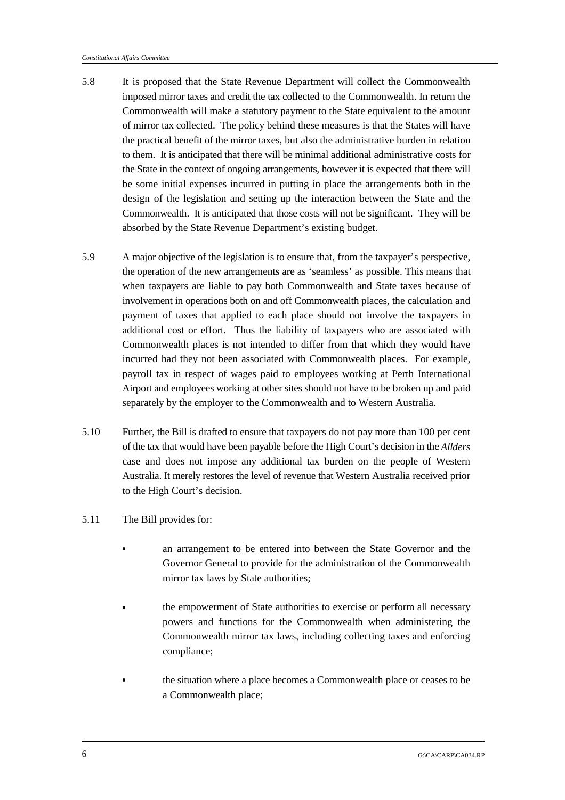- 5.8 It is proposed that the State Revenue Department will collect the Commonwealth imposed mirror taxes and credit the tax collected to the Commonwealth. In return the Commonwealth will make a statutory payment to the State equivalent to the amount of mirror tax collected. The policy behind these measures is that the States will have the practical benefit of the mirror taxes, but also the administrative burden in relation to them. It is anticipated that there will be minimal additional administrative costs for the State in the context of ongoing arrangements*,* however it is expected that there will be some initial expenses incurred in putting in place the arrangements both in the design of the legislation and setting up the interaction between the State and the Commonwealth. It is anticipated that those costs will not be significant. They will be absorbed by the State Revenue Department's existing budget.
- 5.9 A major objective of the legislation is to ensure that, from the taxpayer's perspective, the operation of the new arrangements are as 'seamless' as possible. This means that when taxpayers are liable to pay both Commonwealth and State taxes because of involvement in operations both on and off Commonwealth places, the calculation and payment of taxes that applied to each place should not involve the taxpayers in additional cost or effort. Thus the liability of taxpayers who are associated with Commonwealth places is not intended to differ from that which they would have incurred had they not been associated with Commonwealth places. For example, payroll tax in respect of wages paid to employees working at Perth International Airport and employees working at other sites should not have to be broken up and paid separately by the employer to the Commonwealth and to Western Australia.
- 5.10 Further, the Bill is drafted to ensure that taxpayers do not pay more than 100 per cent of the tax that would have been payable before the High Court's decision in the *Allders* case and does not impose any additional tax burden on the people of Western Australia. It merely restores the level of revenue that Western Australia received prior to the High Court's decision.
- 5.11 The Bill provides for:
	- an arrangement to be entered into between the State Governor and the Governor General to provide for the administration of the Commonwealth mirror tax laws by State authorities;
	- the empowerment of State authorities to exercise or perform all necessary powers and functions for the Commonwealth when administering the Commonwealth mirror tax laws, including collecting taxes and enforcing compliance;
	- the situation where a place becomes a Commonwealth place or ceases to be a Commonwealth place;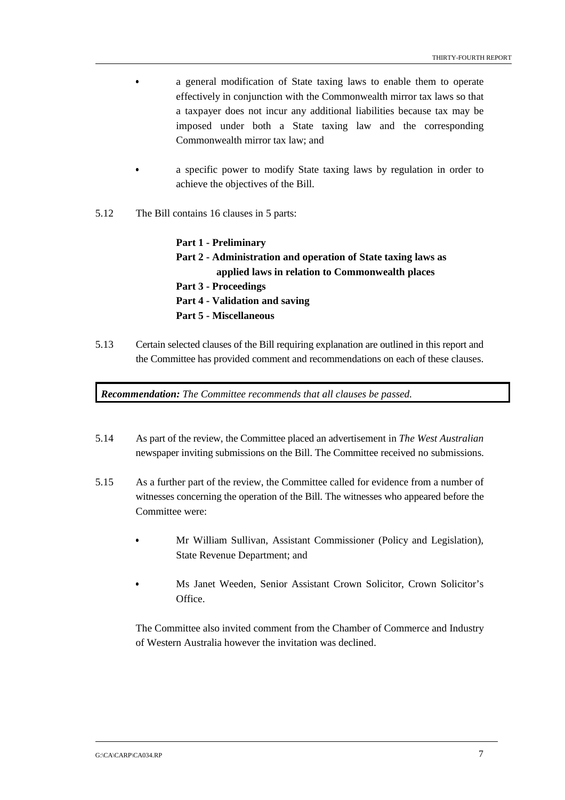- a general modification of State taxing laws to enable them to operate effectively in conjunction with the Commonwealth mirror tax laws so that a taxpayer does not incur any additional liabilities because tax may be imposed under both a State taxing law and the corresponding Commonwealth mirror tax law; and
- a specific power to modify State taxing laws by regulation in order to achieve the objectives of the Bill.
- 5.12 The Bill contains 16 clauses in 5 parts:

**Part 1 - Preliminary Part 2 - Administration and operation of State taxing laws as applied laws in relation to Commonwealth places Part 3 - Proceedings Part 4 - Validation and saving Part 5 - Miscellaneous**

5.13 Certain selected clauses of the Bill requiring explanation are outlined in this report and the Committee has provided comment and recommendations on each of these clauses.

*Recommendation: The Committee recommends that all clauses be passed.*

- 5.14 As part of the review, the Committee placed an advertisement in *The West Australian* newspaper inviting submissions on the Bill. The Committee received no submissions.
- 5.15 As a further part of the review, the Committee called for evidence from a number of witnesses concerning the operation of the Bill. The witnesses who appeared before the Committee were:
	- Mr William Sullivan, Assistant Commissioner (Policy and Legislation), State Revenue Department; and
	- Ms Janet Weeden, Senior Assistant Crown Solicitor, Crown Solicitor's Office.

The Committee also invited comment from the Chamber of Commerce and Industry of Western Australia however the invitation was declined.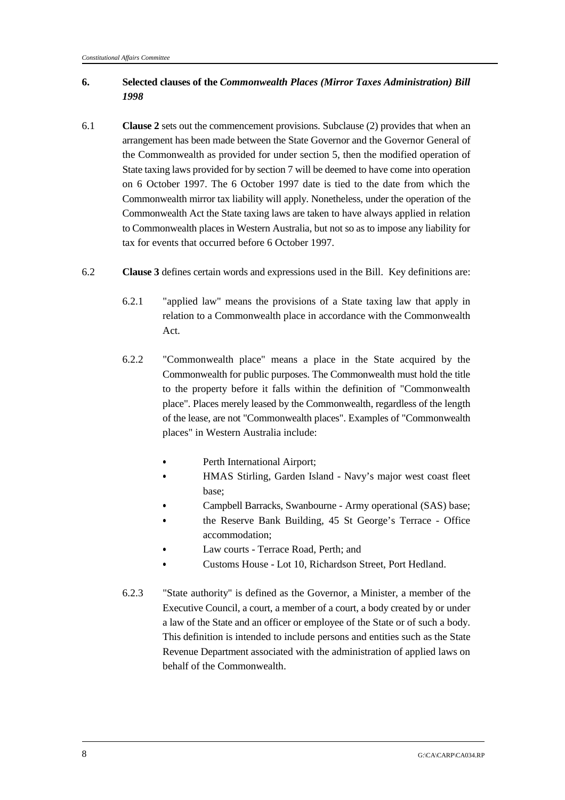#### **6. Selected clauses of the** *Commonwealth Places (Mirror Taxes Administration) Bill 1998*

- 6.1 **Clause 2** sets out the commencement provisions. Subclause (2) provides that when an arrangement has been made between the State Governor and the Governor General of the Commonwealth as provided for under section 5, then the modified operation of State taxing laws provided for by section 7 will be deemed to have come into operation on 6 October 1997. The 6 October 1997 date is tied to the date from which the Commonwealth mirror tax liability will apply. Nonetheless, under the operation of the Commonwealth Act the State taxing laws are taken to have always applied in relation to Commonwealth places in Western Australia, but not so as to impose any liability for tax for events that occurred before 6 October 1997.
- 6.2 **Clause 3** defines certain words and expressions used in the Bill. Key definitions are:
	- 6.2.1 "applied law" means the provisions of a State taxing law that apply in relation to a Commonwealth place in accordance with the Commonwealth Act.
	- 6.2.2 "Commonwealth place" means a place in the State acquired by the Commonwealth for public purposes. The Commonwealth must hold the title to the property before it falls within the definition of "Commonwealth place". Places merely leased by the Commonwealth, regardless of the length of the lease, are not "Commonwealth places". Examples of "Commonwealth places" in Western Australia include:
		- Perth International Airport;
		- HMAS Stirling, Garden Island Navy's major west coast fleet base;
		- Campbell Barracks, Swanbourne Army operational (SAS) base; &
			- the Reserve Bank Building, 45 St George's Terrace Office accommodation;
		- Law courts Terrace Road, Perth; and &
		- Customs House Lot 10, Richardson Street, Port Hedland.
	- 6.2.3 "State authority" is defined as the Governor, a Minister, a member of the Executive Council, a court, a member of a court, a body created by or under a law of the State and an officer or employee of the State or of such a body. This definition is intended to include persons and entities such as the State Revenue Department associated with the administration of applied laws on behalf of the Commonwealth.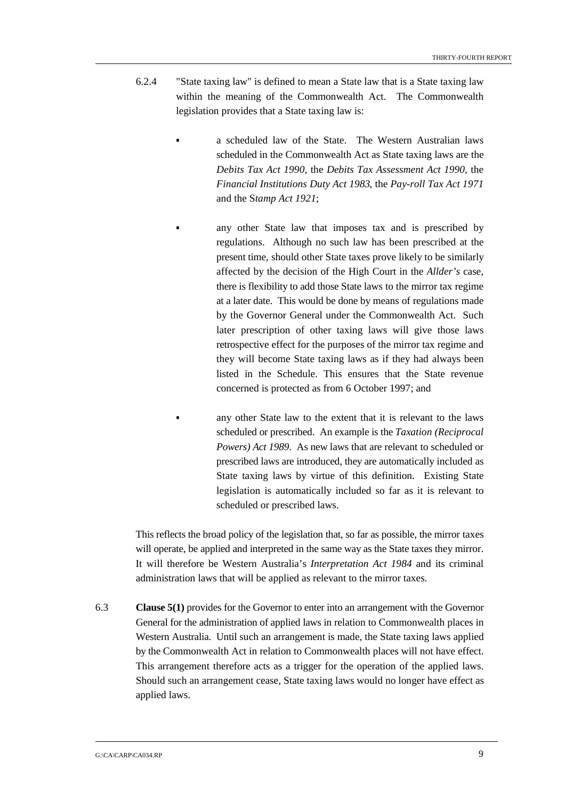- 6.2.4 "State taxing law" is defined to mean a State law that is a State taxing law within the meaning of the Commonwealth Act. The Commonwealth legislation provides that a State taxing law is:
	- a scheduled law of the State. The Western Australian laws scheduled in the Commonwealth Act as State taxing laws are the *Debits Tax Act 1990*, the *Debits Tax Assessment Act 1990*, the *Financial Institutions Duty Act 1983*, the *Pay-roll Tax Act 1971* and the S*tamp Act 1921*;
	- any other State law that imposes tax and is prescribed by regulations. Although no such law has been prescribed at the present time, should other State taxes prove likely to be similarly affected by the decision of the High Court in the *Allder's* case, there is flexibility to add those State laws to the mirror tax regime at a later date. This would be done by means of regulations made by the Governor General under the Commonwealth Act. Such later prescription of other taxing laws will give those laws retrospective effect for the purposes of the mirror tax regime and they will become State taxing laws as if they had always been listed in the Schedule. This ensures that the State revenue concerned is protected as from 6 October 1997; and

 any other State law to the extent that it is relevant to the laws scheduled or prescribed. An example is the *Taxation (Reciprocal Powers) Act 1989*. As new laws that are relevant to scheduled or prescribed laws are introduced, they are automatically included as State taxing laws by virtue of this definition. Existing State legislation is automatically included so far as it is relevant to scheduled or prescribed laws.

This reflects the broad policy of the legislation that, so far as possible, the mirror taxes will operate, be applied and interpreted in the same way as the State taxes they mirror. It will therefore be Western Australia's *Interpretation Act 1984* and its criminal administration laws that will be applied as relevant to the mirror taxes.

6.3 **Clause 5(1)** provides for the Governor to enter into an arrangement with the Governor General for the administration of applied laws in relation to Commonwealth places in Western Australia. Until such an arrangement is made, the State taxing laws applied by the Commonwealth Act in relation to Commonwealth places will not have effect. This arrangement therefore acts as a trigger for the operation of the applied laws. Should such an arrangement cease, State taxing laws would no longer have effect as applied laws.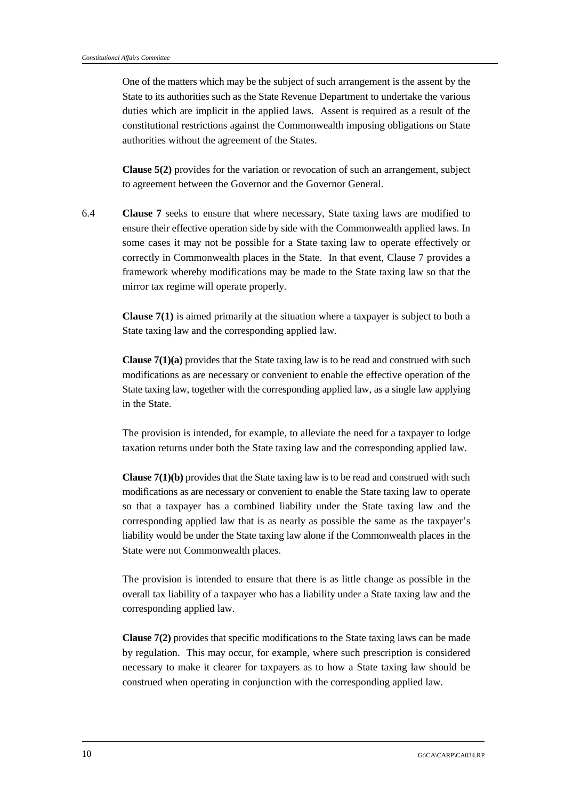One of the matters which may be the subject of such arrangement is the assent by the State to its authorities such as the State Revenue Department to undertake the various duties which are implicit in the applied laws. Assent is required as a result of the constitutional restrictions against the Commonwealth imposing obligations on State authorities without the agreement of the States.

**Clause 5(2)** provides for the variation or revocation of such an arrangement, subject to agreement between the Governor and the Governor General.

6.4 **Clause 7** seeks to ensure that where necessary, State taxing laws are modified to ensure their effective operation side by side with the Commonwealth applied laws. In some cases it may not be possible for a State taxing law to operate effectively or correctly in Commonwealth places in the State. In that event, Clause 7 provides a framework whereby modifications may be made to the State taxing law so that the mirror tax regime will operate properly.

> **Clause 7(1)** is aimed primarily at the situation where a taxpayer is subject to both a State taxing law and the corresponding applied law.

> **Clause 7(1)(a)** provides that the State taxing law is to be read and construed with such modifications as are necessary or convenient to enable the effective operation of the State taxing law, together with the corresponding applied law, as a single law applying in the State.

> The provision is intended, for example, to alleviate the need for a taxpayer to lodge taxation returns under both the State taxing law and the corresponding applied law.

> **Clause 7(1)(b)** provides that the State taxing law is to be read and construed with such modifications as are necessary or convenient to enable the State taxing law to operate so that a taxpayer has a combined liability under the State taxing law and the corresponding applied law that is as nearly as possible the same as the taxpayer's liability would be under the State taxing law alone if the Commonwealth places in the State were not Commonwealth places.

> The provision is intended to ensure that there is as little change as possible in the overall tax liability of a taxpayer who has a liability under a State taxing law and the corresponding applied law.

> **Clause 7(2)** provides that specific modifications to the State taxing laws can be made by regulation. This may occur, for example, where such prescription is considered necessary to make it clearer for taxpayers as to how a State taxing law should be construed when operating in conjunction with the corresponding applied law.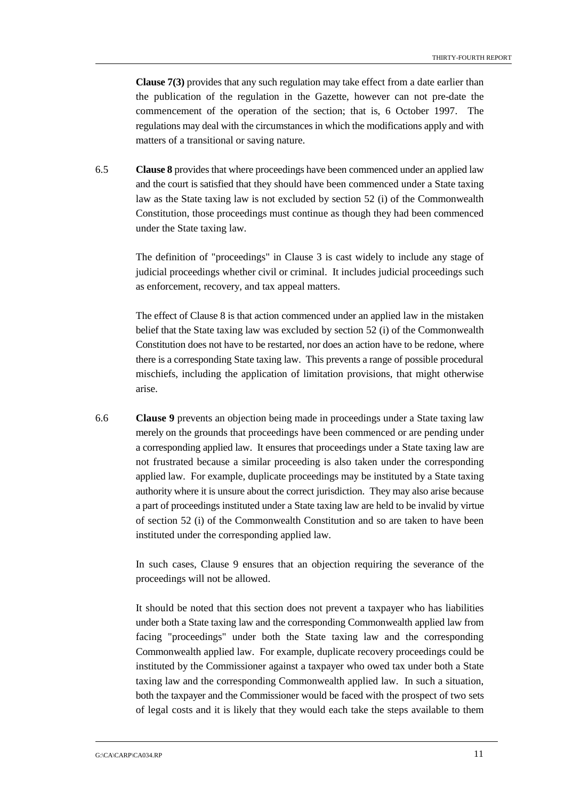**Clause 7(3)** provides that any such regulation may take effect from a date earlier than the publication of the regulation in the Gazette, however can not pre-date the commencement of the operation of the section; that is, 6 October 1997. The regulations may deal with the circumstances in which the modifications apply and with matters of a transitional or saving nature.

6.5 **Clause 8** provides that where proceedings have been commenced under an applied law and the court is satisfied that they should have been commenced under a State taxing law as the State taxing law is not excluded by section 52 (i) of the Commonwealth Constitution, those proceedings must continue as though they had been commenced under the State taxing law.

> The definition of "proceedings" in Clause 3 is cast widely to include any stage of judicial proceedings whether civil or criminal. It includes judicial proceedings such as enforcement, recovery, and tax appeal matters.

> The effect of Clause 8 is that action commenced under an applied law in the mistaken belief that the State taxing law was excluded by section 52 (i) of the Commonwealth Constitution does not have to be restarted, nor does an action have to be redone, where there is a corresponding State taxing law. This prevents a range of possible procedural mischiefs, including the application of limitation provisions, that might otherwise arise.

6.6 **Clause 9** prevents an objection being made in proceedings under a State taxing law merely on the grounds that proceedings have been commenced or are pending under a corresponding applied law. It ensures that proceedings under a State taxing law are not frustrated because a similar proceeding is also taken under the corresponding applied law. For example, duplicate proceedings may be instituted by a State taxing authority where it is unsure about the correct jurisdiction. They may also arise because a part of proceedings instituted under a State taxing law are held to be invalid by virtue of section 52 (i) of the Commonwealth Constitution and so are taken to have been instituted under the corresponding applied law.

> In such cases, Clause 9 ensures that an objection requiring the severance of the proceedings will not be allowed.

> It should be noted that this section does not prevent a taxpayer who has liabilities under both a State taxing law and the corresponding Commonwealth applied law from facing "proceedings" under both the State taxing law and the corresponding Commonwealth applied law. For example, duplicate recovery proceedings could be instituted by the Commissioner against a taxpayer who owed tax under both a State taxing law and the corresponding Commonwealth applied law. In such a situation, both the taxpayer and the Commissioner would be faced with the prospect of two sets of legal costs and it is likely that they would each take the steps available to them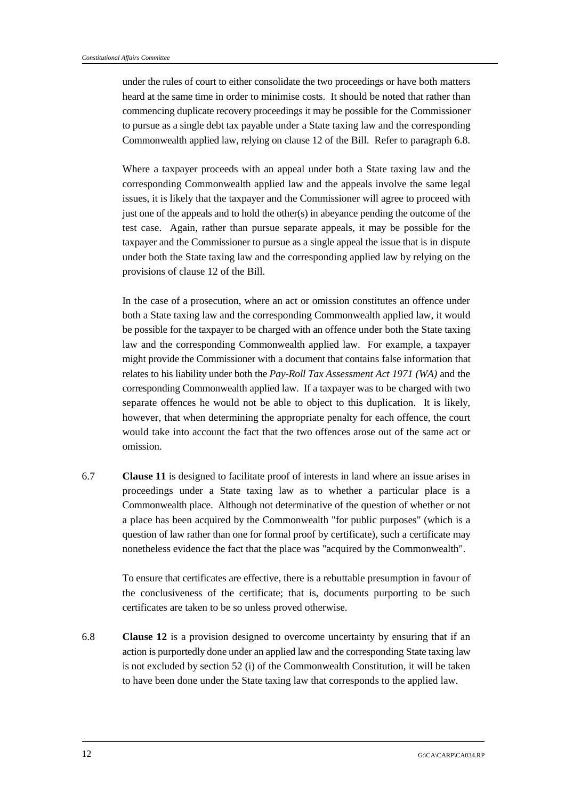under the rules of court to either consolidate the two proceedings or have both matters heard at the same time in order to minimise costs. It should be noted that rather than commencing duplicate recovery proceedings it may be possible for the Commissioner to pursue as a single debt tax payable under a State taxing law and the corresponding Commonwealth applied law, relying on clause 12 of the Bill. Refer to paragraph 6.8.

Where a taxpayer proceeds with an appeal under both a State taxing law and the corresponding Commonwealth applied law and the appeals involve the same legal issues, it is likely that the taxpayer and the Commissioner will agree to proceed with just one of the appeals and to hold the other(s) in abeyance pending the outcome of the test case. Again, rather than pursue separate appeals, it may be possible for the taxpayer and the Commissioner to pursue as a single appeal the issue that is in dispute under both the State taxing law and the corresponding applied law by relying on the provisions of clause 12 of the Bill.

In the case of a prosecution, where an act or omission constitutes an offence under both a State taxing law and the corresponding Commonwealth applied law, it would be possible for the taxpayer to be charged with an offence under both the State taxing law and the corresponding Commonwealth applied law. For example, a taxpayer might provide the Commissioner with a document that contains false information that relates to his liability under both the *Pay-Roll Tax Assessment Act 1971 (WA)* and the corresponding Commonwealth applied law. If a taxpayer was to be charged with two separate offences he would not be able to object to this duplication. It is likely, however, that when determining the appropriate penalty for each offence, the court would take into account the fact that the two offences arose out of the same act or omission.

6.7 **Clause 11** is designed to facilitate proof of interests in land where an issue arises in proceedings under a State taxing law as to whether a particular place is a Commonwealth place. Although not determinative of the question of whether or not a place has been acquired by the Commonwealth "for public purposes" (which is a question of law rather than one for formal proof by certificate), such a certificate may nonetheless evidence the fact that the place was "acquired by the Commonwealth".

> To ensure that certificates are effective, there is a rebuttable presumption in favour of the conclusiveness of the certificate; that is, documents purporting to be such certificates are taken to be so unless proved otherwise.

6.8 **Clause 12** is a provision designed to overcome uncertainty by ensuring that if an action is purportedly done under an applied law and the corresponding State taxing law is not excluded by section 52 (i) of the Commonwealth Constitution, it will be taken to have been done under the State taxing law that corresponds to the applied law.